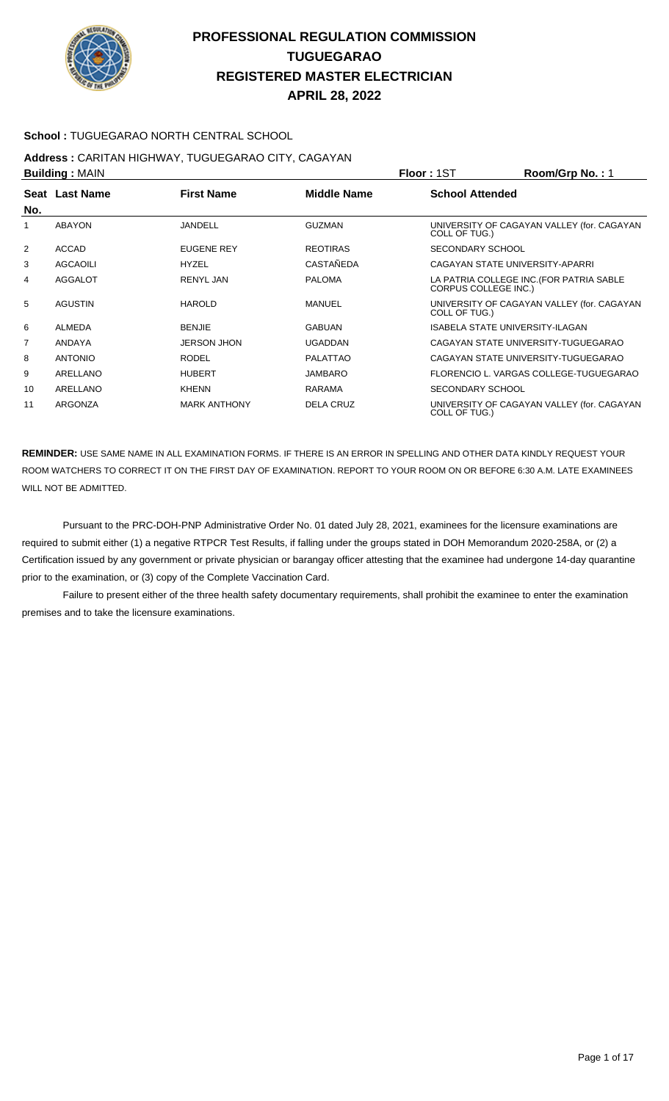

#### **School :** TUGUEGARAO NORTH CENTRAL SCHOOL

#### **Address :** CARITAN HIGHWAY, TUGUEGARAO CITY, CAGAYAN **Building :** MAIN **Floor :** 1ST **Room/Grp No. :** 1

| No. | Seat Last Name  | <b>First Name</b>   | <b>Middle Name</b> | <b>School Attended</b>                                                  |
|-----|-----------------|---------------------|--------------------|-------------------------------------------------------------------------|
| 1   | <b>ABAYON</b>   | <b>JANDELL</b>      | <b>GUZMAN</b>      | UNIVERSITY OF CAGAYAN VALLEY (for. CAGAYAN<br>COLL OF TUG.)             |
| 2   | <b>ACCAD</b>    | <b>EUGENE REY</b>   | <b>REOTIRAS</b>    | SECONDARY SCHOOL                                                        |
| 3   | <b>AGCAOILI</b> | <b>HYZEL</b>        | CASTAÑEDA          | CAGAYAN STATE UNIVERSITY-APARRI                                         |
| 4   | <b>AGGALOT</b>  | RENYL JAN           | <b>PALOMA</b>      | LA PATRIA COLLEGE INC. (FOR PATRIA SABLE<br><b>CORPUS COLLEGE INC.)</b> |
| 5   | <b>AGUSTIN</b>  | <b>HAROLD</b>       | <b>MANUEL</b>      | UNIVERSITY OF CAGAYAN VALLEY (for. CAGAYAN<br>COLL OF TUG.)             |
| 6   | <b>ALMEDA</b>   | <b>BENJIE</b>       | <b>GABUAN</b>      | <b>ISABELA STATE UNIVERSITY-ILAGAN</b>                                  |
| 7   | ANDAYA          | <b>JERSON JHON</b>  | <b>UGADDAN</b>     | CAGAYAN STATE UNIVERSITY-TUGUEGARAO                                     |
| 8   | <b>ANTONIO</b>  | <b>RODEL</b>        | PALATTAO           | CAGAYAN STATE UNIVERSITY-TUGUEGARAO                                     |
| 9   | ARELLANO        | <b>HUBERT</b>       | <b>JAMBARO</b>     | FLORENCIO L. VARGAS COLLEGE-TUGUEGARAO                                  |
| 10  | ARELLANO        | <b>KHENN</b>        | <b>RARAMA</b>      | <b>SECONDARY SCHOOL</b>                                                 |
| 11  | ARGONZA         | <b>MARK ANTHONY</b> | <b>DELA CRUZ</b>   | UNIVERSITY OF CAGAYAN VALLEY (for. CAGAYAN<br>COLL OF TUG.)             |

**REMINDER:** USE SAME NAME IN ALL EXAMINATION FORMS. IF THERE IS AN ERROR IN SPELLING AND OTHER DATA KINDLY REQUEST YOUR ROOM WATCHERS TO CORRECT IT ON THE FIRST DAY OF EXAMINATION. REPORT TO YOUR ROOM ON OR BEFORE 6:30 A.M. LATE EXAMINEES WILL NOT BE ADMITTED.

 Pursuant to the PRC-DOH-PNP Administrative Order No. 01 dated July 28, 2021, examinees for the licensure examinations are required to submit either (1) a negative RTPCR Test Results, if falling under the groups stated in DOH Memorandum 2020-258A, or (2) a Certification issued by any government or private physician or barangay officer attesting that the examinee had undergone 14-day quarantine prior to the examination, or (3) copy of the Complete Vaccination Card.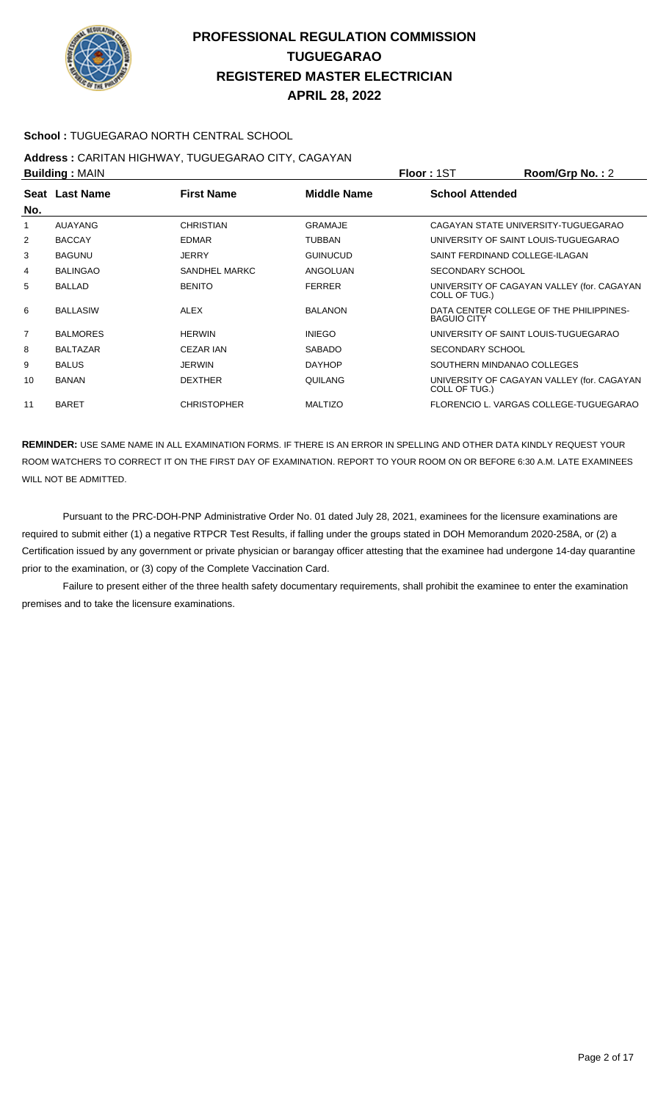

#### **School :** TUGUEGARAO NORTH CENTRAL SCHOOL

# **Address :** CARITAN HIGHWAY, TUGUEGARAO CITY, CAGAYAN

| <b>Building: MAIN</b> |                 |                    |                    | <b>Floor: 1ST</b>              | Room/Grp No.: 2                            |
|-----------------------|-----------------|--------------------|--------------------|--------------------------------|--------------------------------------------|
| No.                   | Seat Last Name  | <b>First Name</b>  | <b>Middle Name</b> | <b>School Attended</b>         |                                            |
| 1                     | AUAYANG         | <b>CHRISTIAN</b>   | <b>GRAMAJE</b>     |                                | CAGAYAN STATE UNIVERSITY-TUGUEGARAO        |
| 2                     | <b>BACCAY</b>   | <b>EDMAR</b>       | <b>TUBBAN</b>      |                                | UNIVERSITY OF SAINT LOUIS-TUGUEGARAO       |
| 3                     | <b>BAGUNU</b>   | <b>JERRY</b>       | <b>GUINUCUD</b>    | SAINT FERDINAND COLLEGE-ILAGAN |                                            |
| 4                     | <b>BALINGAO</b> | SANDHEL MARKC      | ANGOLUAN           | <b>SECONDARY SCHOOL</b>        |                                            |
| 5                     | <b>BALLAD</b>   | <b>BENITO</b>      | <b>FERRER</b>      | COLL OF TUG.)                  | UNIVERSITY OF CAGAYAN VALLEY (for. CAGAYAN |
| 6                     | <b>BALLASIW</b> | <b>ALEX</b>        | <b>BALANON</b>     | <b>BAGUIO CITY</b>             | DATA CENTER COLLEGE OF THE PHILIPPINES-    |
| 7                     | <b>BALMORES</b> | <b>HERWIN</b>      | <b>INIEGO</b>      |                                | UNIVERSITY OF SAINT LOUIS-TUGUEGARAO       |
| 8                     | <b>BALTAZAR</b> | <b>CEZAR IAN</b>   | <b>SABADO</b>      | SECONDARY SCHOOL               |                                            |
| 9                     | <b>BALUS</b>    | <b>JERWIN</b>      | <b>DAYHOP</b>      | SOUTHERN MINDANAO COLLEGES     |                                            |
| 10                    | <b>BANAN</b>    | <b>DEXTHER</b>     | QUILANG            | COLL OF TUG.)                  | UNIVERSITY OF CAGAYAN VALLEY (for. CAGAYAN |
| 11                    | <b>BARET</b>    | <b>CHRISTOPHER</b> | <b>MALTIZO</b>     |                                | FLORENCIO L. VARGAS COLLEGE-TUGUEGARAO     |

**REMINDER:** USE SAME NAME IN ALL EXAMINATION FORMS. IF THERE IS AN ERROR IN SPELLING AND OTHER DATA KINDLY REQUEST YOUR ROOM WATCHERS TO CORRECT IT ON THE FIRST DAY OF EXAMINATION. REPORT TO YOUR ROOM ON OR BEFORE 6:30 A.M. LATE EXAMINEES WILL NOT BE ADMITTED.

 Pursuant to the PRC-DOH-PNP Administrative Order No. 01 dated July 28, 2021, examinees for the licensure examinations are required to submit either (1) a negative RTPCR Test Results, if falling under the groups stated in DOH Memorandum 2020-258A, or (2) a Certification issued by any government or private physician or barangay officer attesting that the examinee had undergone 14-day quarantine prior to the examination, or (3) copy of the Complete Vaccination Card.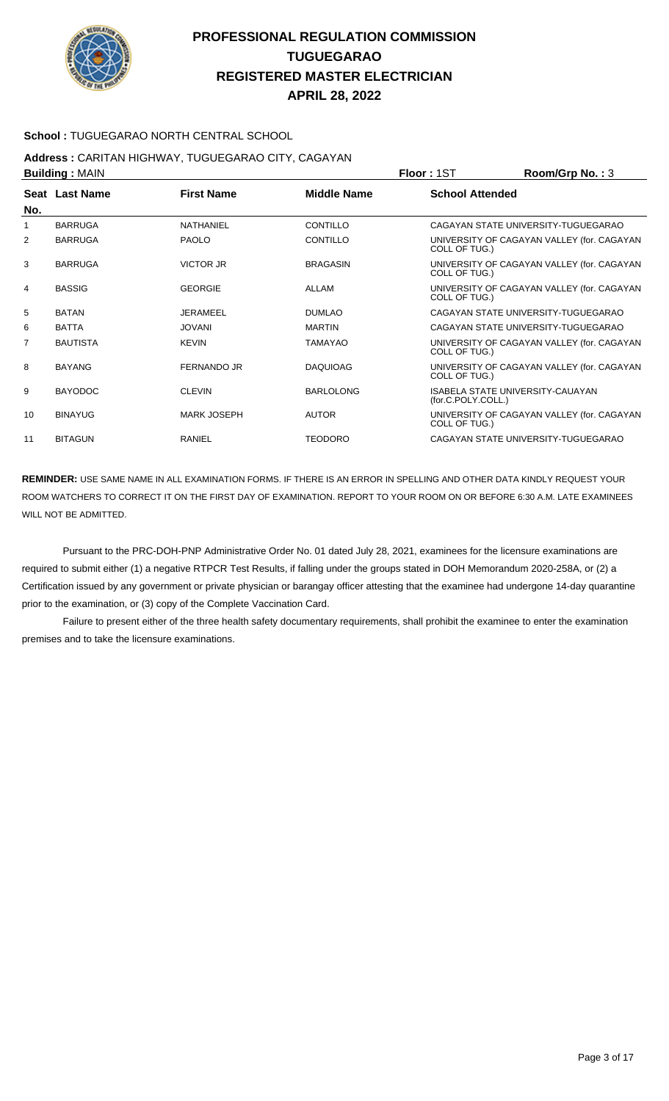

#### **School :** TUGUEGARAO NORTH CENTRAL SCHOOL

# **Address :** CARITAN HIGHWAY, TUGUEGARAO CITY, CAGAYAN

| <b>Building: MAIN</b> |                 |                    |                    | <b>Floor: 1ST</b>      | Room/Grp No.: 3                            |
|-----------------------|-----------------|--------------------|--------------------|------------------------|--------------------------------------------|
| No.                   | Seat Last Name  | <b>First Name</b>  | <b>Middle Name</b> | <b>School Attended</b> |                                            |
| 1                     | <b>BARRUGA</b>  | NATHANIEL          | CONTILLO           |                        | CAGAYAN STATE UNIVERSITY-TUGUEGARAO        |
| 2                     | <b>BARRUGA</b>  | <b>PAOLO</b>       | <b>CONTILLO</b>    |                        | UNIVERSITY OF CAGAYAN VALLEY (for. CAGAYAN |
|                       |                 |                    |                    | COLL OF TUG.)          |                                            |
| 3                     | <b>BARRUGA</b>  | <b>VICTOR JR</b>   | <b>BRAGASIN</b>    | COLL OF TUG.)          | UNIVERSITY OF CAGAYAN VALLEY (for. CAGAYAN |
| 4                     | <b>BASSIG</b>   | <b>GEORGIE</b>     | ALLAM              | COLL OF TUG.)          | UNIVERSITY OF CAGAYAN VALLEY (for. CAGAYAN |
| 5                     | <b>BATAN</b>    | JERAMEEL           | <b>DUMLAO</b>      |                        | CAGAYAN STATE UNIVERSITY-TUGUEGARAO        |
| 6                     | <b>BATTA</b>    | <b>JOVANI</b>      | <b>MARTIN</b>      |                        | CAGAYAN STATE UNIVERSITY-TUGUEGARAO        |
| $\overline{7}$        | <b>BAUTISTA</b> | <b>KEVIN</b>       | <b>TAMAYAO</b>     | COLL OF TUG.)          | UNIVERSITY OF CAGAYAN VALLEY (for. CAGAYAN |
| 8                     | <b>BAYANG</b>   | <b>FERNANDO JR</b> | <b>DAQUIOAG</b>    | COLL OF TUG.)          | UNIVERSITY OF CAGAYAN VALLEY (for. CAGAYAN |
| 9                     | <b>BAYODOC</b>  | <b>CLEVIN</b>      | <b>BARLOLONG</b>   | (for.C.POLY.COLL.)     | <b>ISABELA STATE UNIVERSITY-CAUAYAN</b>    |
| 10                    | <b>BINAYUG</b>  | <b>MARK JOSEPH</b> | <b>AUTOR</b>       | COLL OF TUG.)          | UNIVERSITY OF CAGAYAN VALLEY (for. CAGAYAN |
| 11                    | <b>BITAGUN</b>  | RANIEL             | <b>TEODORO</b>     |                        | CAGAYAN STATE UNIVERSITY-TUGUEGARAO        |

**REMINDER:** USE SAME NAME IN ALL EXAMINATION FORMS. IF THERE IS AN ERROR IN SPELLING AND OTHER DATA KINDLY REQUEST YOUR ROOM WATCHERS TO CORRECT IT ON THE FIRST DAY OF EXAMINATION. REPORT TO YOUR ROOM ON OR BEFORE 6:30 A.M. LATE EXAMINEES WILL NOT BE ADMITTED.

 Pursuant to the PRC-DOH-PNP Administrative Order No. 01 dated July 28, 2021, examinees for the licensure examinations are required to submit either (1) a negative RTPCR Test Results, if falling under the groups stated in DOH Memorandum 2020-258A, or (2) a Certification issued by any government or private physician or barangay officer attesting that the examinee had undergone 14-day quarantine prior to the examination, or (3) copy of the Complete Vaccination Card.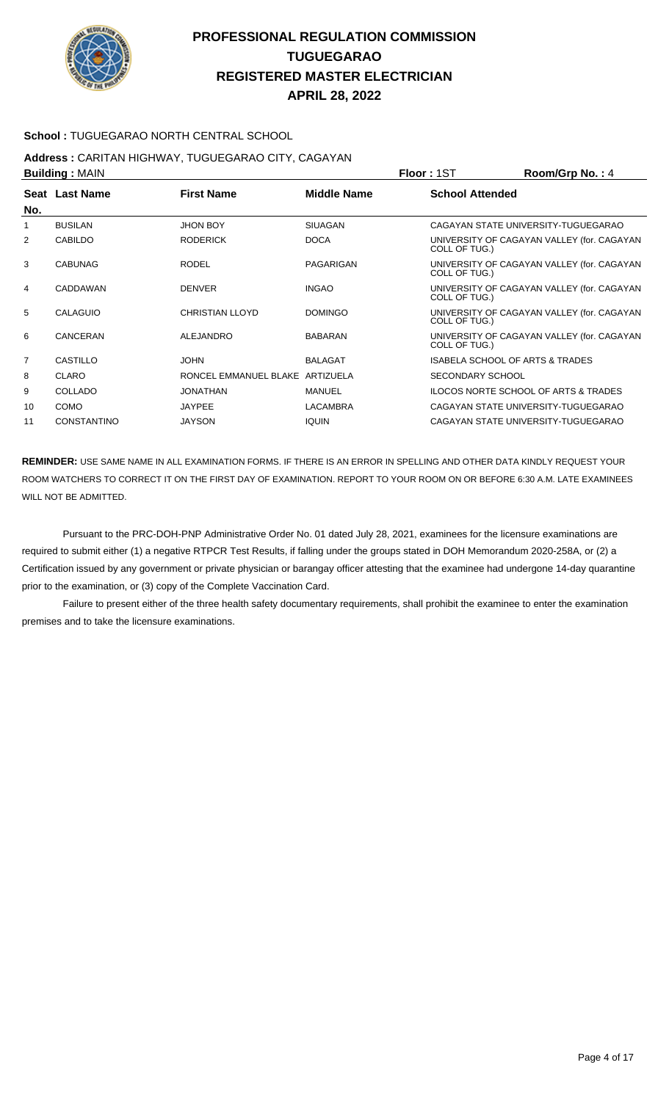

**APRIL 28, 2022**

#### **School :** TUGUEGARAO NORTH CENTRAL SCHOOL

# **Address :** CARITAN HIGHWAY, TUGUEGARAO CITY, CAGAYAN

| <b>Building: MAIN</b> |                    |                                 |                    | Floor: 1ST              | Room/Grp No.: 4                            |
|-----------------------|--------------------|---------------------------------|--------------------|-------------------------|--------------------------------------------|
| No.                   | Seat Last Name     | <b>First Name</b>               | <b>Middle Name</b> | <b>School Attended</b>  |                                            |
|                       | <b>BUSILAN</b>     | <b>JHON BOY</b>                 | <b>SIUAGAN</b>     |                         | CAGAYAN STATE UNIVERSITY-TUGUEGARAO        |
| 2                     | <b>CABILDO</b>     | <b>RODERICK</b>                 | <b>DOCA</b>        | COLL OF TUG.)           | UNIVERSITY OF CAGAYAN VALLEY (for. CAGAYAN |
| 3                     | <b>CABUNAG</b>     | <b>RODEL</b>                    | PAGARIGAN          | COLL OF TUG.)           | UNIVERSITY OF CAGAYAN VALLEY (for. CAGAYAN |
| 4                     | CADDAWAN           | <b>DENVER</b>                   | <b>INGAO</b>       | COLL OF TUG.)           | UNIVERSITY OF CAGAYAN VALLEY (for. CAGAYAN |
| 5                     | CALAGUIO           | <b>CHRISTIAN LLOYD</b>          | <b>DOMINGO</b>     | COLL OF TUG.)           | UNIVERSITY OF CAGAYAN VALLEY (for. CAGAYAN |
| 6                     | CANCERAN           | <b>ALEJANDRO</b>                | <b>BABARAN</b>     | COLL OF TUG.)           | UNIVERSITY OF CAGAYAN VALLEY (for. CAGAYAN |
| $\overline{7}$        | CASTILLO           | <b>JOHN</b>                     | <b>BALAGAT</b>     |                         | ISABELA SCHOOL OF ARTS & TRADES            |
| 8                     | <b>CLARO</b>       | RONCEL EMMANUEL BLAKE ARTIZUELA |                    | <b>SECONDARY SCHOOL</b> |                                            |
| 9                     | COLLADO            | <b>JONATHAN</b>                 | <b>MANUEL</b>      |                         | ILOCOS NORTE SCHOOL OF ARTS & TRADES       |
| 10                    | <b>COMO</b>        | <b>JAYPEE</b>                   | <b>LACAMBRA</b>    |                         | CAGAYAN STATE UNIVERSITY-TUGUEGARAO        |
| 11                    | <b>CONSTANTINO</b> | <b>JAYSON</b>                   | <b>IQUIN</b>       |                         | CAGAYAN STATE UNIVERSITY-TUGUEGARAO        |

**REMINDER:** USE SAME NAME IN ALL EXAMINATION FORMS. IF THERE IS AN ERROR IN SPELLING AND OTHER DATA KINDLY REQUEST YOUR ROOM WATCHERS TO CORRECT IT ON THE FIRST DAY OF EXAMINATION. REPORT TO YOUR ROOM ON OR BEFORE 6:30 A.M. LATE EXAMINEES WILL NOT BE ADMITTED.

 Pursuant to the PRC-DOH-PNP Administrative Order No. 01 dated July 28, 2021, examinees for the licensure examinations are required to submit either (1) a negative RTPCR Test Results, if falling under the groups stated in DOH Memorandum 2020-258A, or (2) a Certification issued by any government or private physician or barangay officer attesting that the examinee had undergone 14-day quarantine prior to the examination, or (3) copy of the Complete Vaccination Card.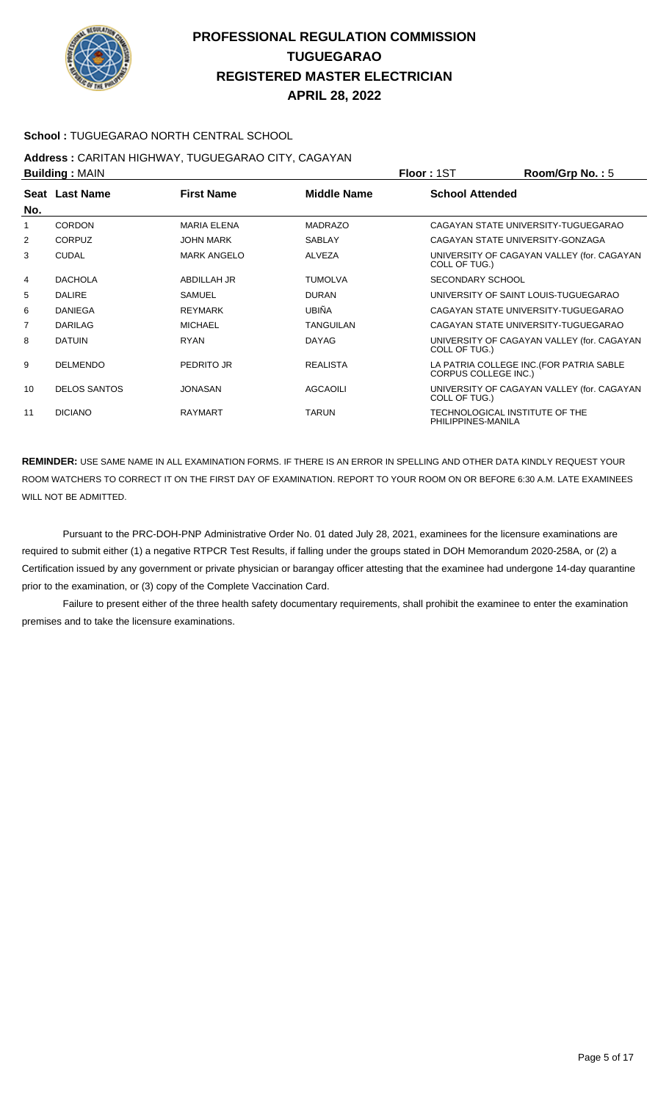

#### **School :** TUGUEGARAO NORTH CENTRAL SCHOOL

# **Address :** CARITAN HIGHWAY, TUGUEGARAO CITY, CAGAYAN

| <b>Building: MAIN</b> |                     |                    |                    | Room/Grp No.: $5$<br><b>Floor: 1ST</b>                                  |
|-----------------------|---------------------|--------------------|--------------------|-------------------------------------------------------------------------|
| No.                   | Seat Last Name      | <b>First Name</b>  | <b>Middle Name</b> | <b>School Attended</b>                                                  |
| 1                     | <b>CORDON</b>       | <b>MARIA ELENA</b> | <b>MADRAZO</b>     | CAGAYAN STATE UNIVERSITY-TUGUEGARAO                                     |
| 2                     | <b>CORPUZ</b>       | <b>JOHN MARK</b>   | <b>SABLAY</b>      | CAGAYAN STATE UNIVERSITY-GONZAGA                                        |
| 3                     | <b>CUDAL</b>        | <b>MARK ANGELO</b> | <b>ALVEZA</b>      | UNIVERSITY OF CAGAYAN VALLEY (for. CAGAYAN<br>COLL OF TUG.)             |
| 4                     | <b>DACHOLA</b>      | ABDILLAH JR        | <b>TUMOLVA</b>     | <b>SECONDARY SCHOOL</b>                                                 |
| 5                     | <b>DALIRE</b>       | <b>SAMUEL</b>      | <b>DURAN</b>       | UNIVERSITY OF SAINT LOUIS-TUGUEGARAO                                    |
| 6                     | <b>DANIEGA</b>      | <b>REYMARK</b>     | <b>UBIÑA</b>       | CAGAYAN STATE UNIVERSITY-TUGUEGARAO                                     |
| $\overline{7}$        | DARILAG             | <b>MICHAEL</b>     | <b>TANGUILAN</b>   | CAGAYAN STATE UNIVERSITY-TUGUEGARAO                                     |
| 8                     | <b>DATUIN</b>       | <b>RYAN</b>        | <b>DAYAG</b>       | UNIVERSITY OF CAGAYAN VALLEY (for. CAGAYAN<br>COLL OF TUG.)             |
| 9                     | <b>DELMENDO</b>     | PEDRITO JR         | <b>REALISTA</b>    | LA PATRIA COLLEGE INC. (FOR PATRIA SABLE<br><b>CORPUS COLLEGE INC.)</b> |
| 10                    | <b>DELOS SANTOS</b> | <b>JONASAN</b>     | <b>AGCAOILI</b>    | UNIVERSITY OF CAGAYAN VALLEY (for. CAGAYAN<br>COLL OF TUG.)             |
| 11                    | <b>DICIANO</b>      | <b>RAYMART</b>     | <b>TARUN</b>       | TECHNOLOGICAL INSTITUTE OF THE<br>PHILIPPINES-MANILA                    |

**REMINDER:** USE SAME NAME IN ALL EXAMINATION FORMS. IF THERE IS AN ERROR IN SPELLING AND OTHER DATA KINDLY REQUEST YOUR ROOM WATCHERS TO CORRECT IT ON THE FIRST DAY OF EXAMINATION. REPORT TO YOUR ROOM ON OR BEFORE 6:30 A.M. LATE EXAMINEES WILL NOT BE ADMITTED.

 Pursuant to the PRC-DOH-PNP Administrative Order No. 01 dated July 28, 2021, examinees for the licensure examinations are required to submit either (1) a negative RTPCR Test Results, if falling under the groups stated in DOH Memorandum 2020-258A, or (2) a Certification issued by any government or private physician or barangay officer attesting that the examinee had undergone 14-day quarantine prior to the examination, or (3) copy of the Complete Vaccination Card.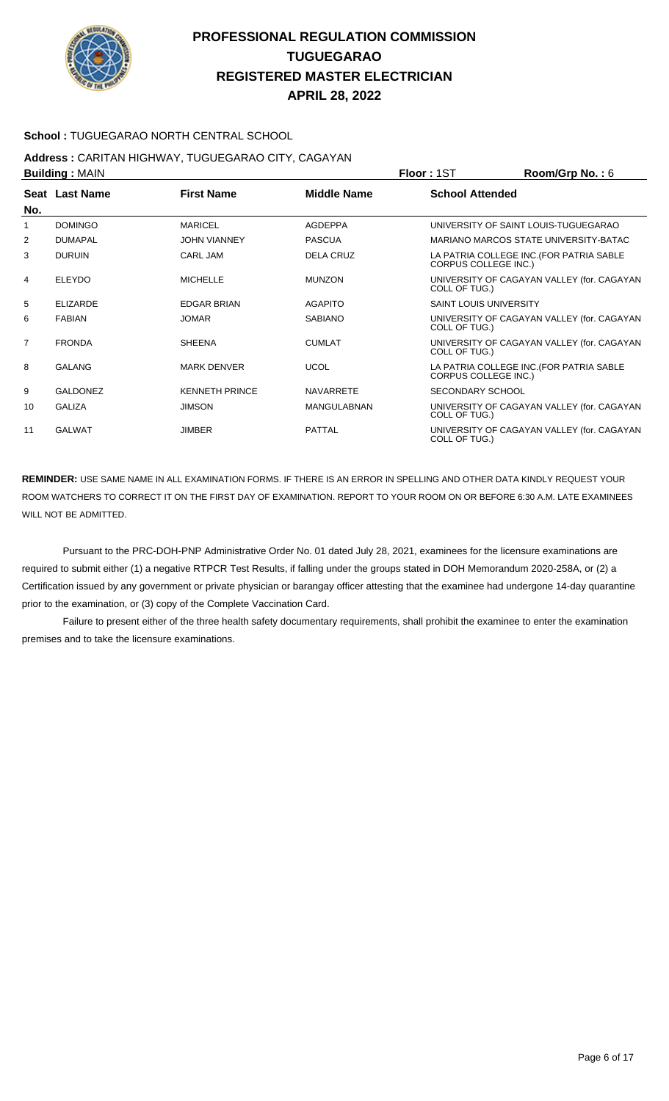

#### **School :** TUGUEGARAO NORTH CENTRAL SCHOOL

#### **Address :** CARITAN HIGHWAY, TUGUEGARAO CITY, CAGAYAN **Building :** MAIN **Floor :** 1ST **Room/Grp No. :** 6

|                | ранангу , глипт |                       |                    | .<br>110011110111101110111                                              |
|----------------|-----------------|-----------------------|--------------------|-------------------------------------------------------------------------|
| No.            | Seat Last Name  | <b>First Name</b>     | <b>Middle Name</b> | <b>School Attended</b>                                                  |
| 1              | <b>DOMINGO</b>  | <b>MARICEL</b>        | <b>AGDEPPA</b>     | UNIVERSITY OF SAINT LOUIS-TUGUEGARAO                                    |
| 2              | <b>DUMAPAL</b>  | <b>JOHN VIANNEY</b>   | <b>PASCUA</b>      | MARIANO MARCOS STATE UNIVERSITY-BATAC                                   |
| 3              | <b>DURUIN</b>   | <b>CARL JAM</b>       | <b>DELA CRUZ</b>   | LA PATRIA COLLEGE INC. (FOR PATRIA SABLE<br><b>CORPUS COLLEGE INC.)</b> |
| 4              | <b>ELEYDO</b>   | <b>MICHELLE</b>       | <b>MUNZON</b>      | UNIVERSITY OF CAGAYAN VALLEY (for. CAGAYAN<br>COLL OF TUG.)             |
| 5              | <b>ELIZARDE</b> | <b>EDGAR BRIAN</b>    | <b>AGAPITO</b>     | <b>SAINT LOUIS UNIVERSITY</b>                                           |
| 6              | <b>FABIAN</b>   | <b>JOMAR</b>          | <b>SABIANO</b>     | UNIVERSITY OF CAGAYAN VALLEY (for. CAGAYAN<br>COLL OF TUG.)             |
| $\overline{7}$ | <b>FRONDA</b>   | <b>SHEENA</b>         | <b>CUMLAT</b>      | UNIVERSITY OF CAGAYAN VALLEY (for. CAGAYAN<br>COLL OF TUG.)             |
| 8              | <b>GALANG</b>   | <b>MARK DENVER</b>    | <b>UCOL</b>        | LA PATRIA COLLEGE INC. (FOR PATRIA SABLE<br><b>CORPUS COLLEGE INC.)</b> |
| 9              | <b>GALDONEZ</b> | <b>KENNETH PRINCE</b> | <b>NAVARRETE</b>   | <b>SECONDARY SCHOOL</b>                                                 |
| 10             | <b>GALIZA</b>   | <b>JIMSON</b>         | <b>MANGULABNAN</b> | UNIVERSITY OF CAGAYAN VALLEY (for. CAGAYAN<br>COLL OF TUG.)             |
| 11             | <b>GALWAT</b>   | <b>JIMBER</b>         | <b>PATTAL</b>      | UNIVERSITY OF CAGAYAN VALLEY (for. CAGAYAN<br>COLL OF TUG.)             |

**REMINDER:** USE SAME NAME IN ALL EXAMINATION FORMS. IF THERE IS AN ERROR IN SPELLING AND OTHER DATA KINDLY REQUEST YOUR ROOM WATCHERS TO CORRECT IT ON THE FIRST DAY OF EXAMINATION. REPORT TO YOUR ROOM ON OR BEFORE 6:30 A.M. LATE EXAMINEES WILL NOT BE ADMITTED.

 Pursuant to the PRC-DOH-PNP Administrative Order No. 01 dated July 28, 2021, examinees for the licensure examinations are required to submit either (1) a negative RTPCR Test Results, if falling under the groups stated in DOH Memorandum 2020-258A, or (2) a Certification issued by any government or private physician or barangay officer attesting that the examinee had undergone 14-day quarantine prior to the examination, or (3) copy of the Complete Vaccination Card.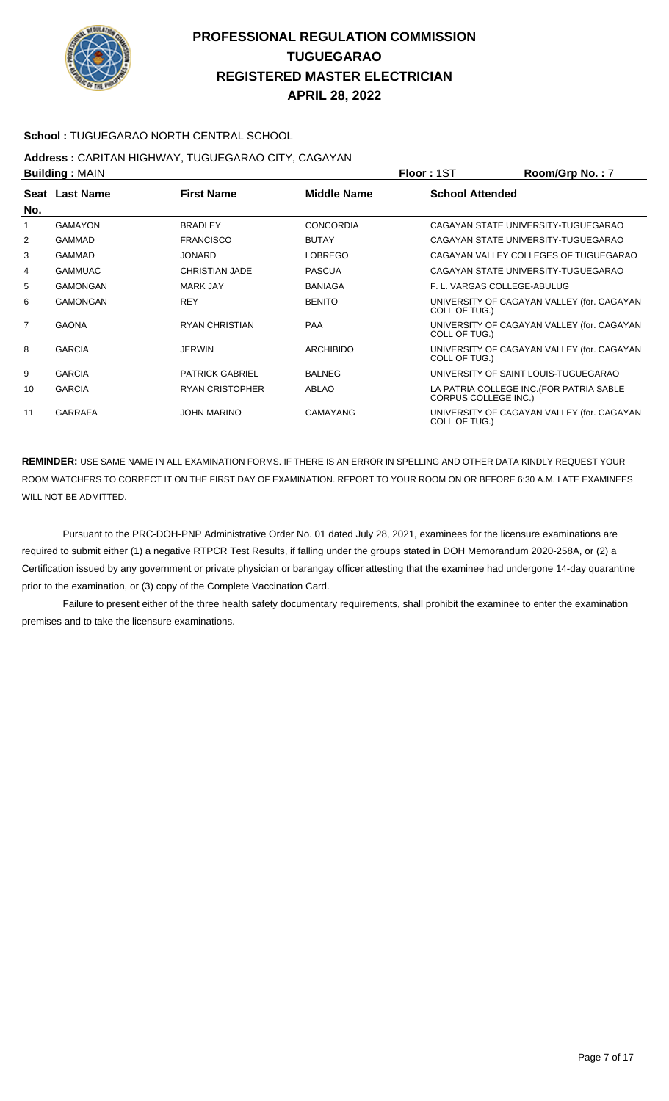

#### **School :** TUGUEGARAO NORTH CENTRAL SCHOOL

# **Address :** CARITAN HIGHWAY, TUGUEGARAO CITY, CAGAYAN

| <b>Building: MAIN</b> |                 |                        |                    | <b>Floor: 1ST</b>           | Room/Grp No.: 7                            |
|-----------------------|-----------------|------------------------|--------------------|-----------------------------|--------------------------------------------|
| No.                   | Seat Last Name  | <b>First Name</b>      | <b>Middle Name</b> | <b>School Attended</b>      |                                            |
| 1                     | GAMAYON         | <b>BRADLEY</b>         | <b>CONCORDIA</b>   |                             | CAGAYAN STATE UNIVERSITY-TUGUEGARAO        |
| 2                     | <b>GAMMAD</b>   | <b>FRANCISCO</b>       | <b>BUTAY</b>       |                             | CAGAYAN STATE UNIVERSITY-TUGUEGARAO        |
| 3                     | <b>GAMMAD</b>   | <b>JONARD</b>          | <b>LOBREGO</b>     |                             | CAGAYAN VALLEY COLLEGES OF TUGUEGARAO      |
| 4                     | <b>GAMMUAC</b>  | <b>CHRISTIAN JADE</b>  | <b>PASCUA</b>      |                             | CAGAYAN STATE UNIVERSITY-TUGUEGARAO        |
| 5                     | <b>GAMONGAN</b> | <b>MARK JAY</b>        | <b>BANIAGA</b>     | F. L. VARGAS COLLEGE-ABULUG |                                            |
| 6                     | GAMONGAN        | <b>REY</b>             | <b>BENITO</b>      | COLL OF TUG.)               | UNIVERSITY OF CAGAYAN VALLEY (for. CAGAYAN |
| $\overline{7}$        | <b>GAONA</b>    | <b>RYAN CHRISTIAN</b>  | <b>PAA</b>         | COLL OF TUG.)               | UNIVERSITY OF CAGAYAN VALLEY (for. CAGAYAN |
| 8                     | <b>GARCIA</b>   | <b>JERWIN</b>          | <b>ARCHIBIDO</b>   | COLL OF TUG.)               | UNIVERSITY OF CAGAYAN VALLEY (for. CAGAYAN |
| 9                     | <b>GARCIA</b>   | <b>PATRICK GABRIEL</b> | <b>BALNEG</b>      |                             | UNIVERSITY OF SAINT LOUIS-TUGUEGARAO       |
| 10                    | <b>GARCIA</b>   | <b>RYAN CRISTOPHER</b> | <b>ABLAO</b>       | <b>CORPUS COLLEGE INC.)</b> | LA PATRIA COLLEGE INC. (FOR PATRIA SABLE   |
| 11                    | <b>GARRAFA</b>  | <b>JOHN MARINO</b>     | CAMAYANG           | COLL OF TUG.)               | UNIVERSITY OF CAGAYAN VALLEY (for. CAGAYAN |

**REMINDER:** USE SAME NAME IN ALL EXAMINATION FORMS. IF THERE IS AN ERROR IN SPELLING AND OTHER DATA KINDLY REQUEST YOUR ROOM WATCHERS TO CORRECT IT ON THE FIRST DAY OF EXAMINATION. REPORT TO YOUR ROOM ON OR BEFORE 6:30 A.M. LATE EXAMINEES WILL NOT BE ADMITTED.

 Pursuant to the PRC-DOH-PNP Administrative Order No. 01 dated July 28, 2021, examinees for the licensure examinations are required to submit either (1) a negative RTPCR Test Results, if falling under the groups stated in DOH Memorandum 2020-258A, or (2) a Certification issued by any government or private physician or barangay officer attesting that the examinee had undergone 14-day quarantine prior to the examination, or (3) copy of the Complete Vaccination Card.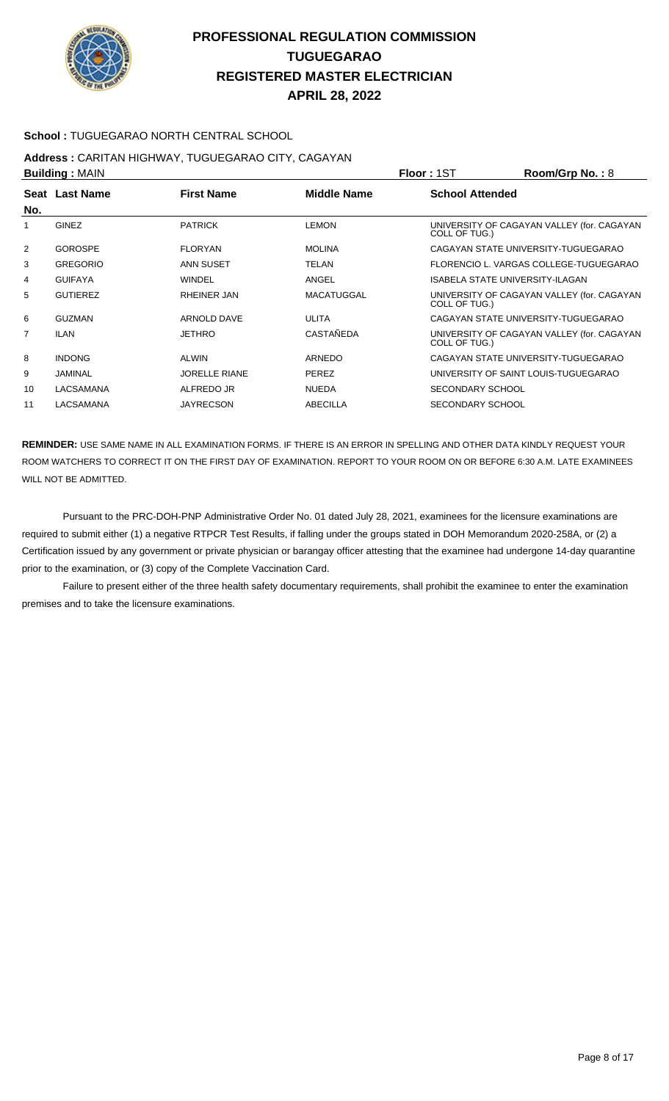

#### **School :** TUGUEGARAO NORTH CENTRAL SCHOOL

#### **Address :** CARITAN HIGHWAY, TUGUEGARAO CITY, CAGAYAN **Building :** MAIN **Floor :** 1ST **Room/Grp No. :** 8

| P              |                 |                      |                   | 1 IUU 1 1 U 1<br>110011110111101110                         |  |
|----------------|-----------------|----------------------|-------------------|-------------------------------------------------------------|--|
| No.            | Seat Last Name  | <b>First Name</b>    | Middle Name       | <b>School Attended</b>                                      |  |
| 1              | <b>GINEZ</b>    | <b>PATRICK</b>       | <b>LEMON</b>      | UNIVERSITY OF CAGAYAN VALLEY (for. CAGAYAN<br>COLL OF TUG.) |  |
| 2              | <b>GOROSPE</b>  | <b>FLORYAN</b>       | <b>MOLINA</b>     | CAGAYAN STATE UNIVERSITY-TUGUEGARAO                         |  |
| 3              | <b>GREGORIO</b> | ANN SUSET            | TELAN             | FLORENCIO L. VARGAS COLLEGE-TUGUEGARAO                      |  |
| 4              | <b>GUIFAYA</b>  | <b>WINDEL</b>        | ANGEL             | <b>ISABELA STATE UNIVERSITY-ILAGAN</b>                      |  |
| 5              | <b>GUTIEREZ</b> | RHEINER JAN          | <b>MACATUGGAL</b> | UNIVERSITY OF CAGAYAN VALLEY (for. CAGAYAN<br>COLL OF TUG.) |  |
| 6              | <b>GUZMAN</b>   | ARNOLD DAVE          | ULITA             | CAGAYAN STATE UNIVERSITY-TUGUEGARAO                         |  |
| $\overline{7}$ | <b>ILAN</b>     | <b>JETHRO</b>        | <b>CASTAÑEDA</b>  | UNIVERSITY OF CAGAYAN VALLEY (for. CAGAYAN<br>COLL OF TUG.) |  |
| 8              | <b>INDONG</b>   | ALWIN                | <b>ARNEDO</b>     | CAGAYAN STATE UNIVERSITY-TUGUEGARAO                         |  |
| 9              | JAMINAL         | <b>JORELLE RIANE</b> | <b>PEREZ</b>      | UNIVERSITY OF SAINT LOUIS-TUGUEGARAO                        |  |
| 10             | LACSAMANA       | ALFREDO JR           | <b>NUEDA</b>      | <b>SECONDARY SCHOOL</b>                                     |  |
| 11             | LACSAMANA       | <b>JAYRECSON</b>     | <b>ABECILLA</b>   | SECONDARY SCHOOL                                            |  |
|                |                 |                      |                   |                                                             |  |

**REMINDER:** USE SAME NAME IN ALL EXAMINATION FORMS. IF THERE IS AN ERROR IN SPELLING AND OTHER DATA KINDLY REQUEST YOUR ROOM WATCHERS TO CORRECT IT ON THE FIRST DAY OF EXAMINATION. REPORT TO YOUR ROOM ON OR BEFORE 6:30 A.M. LATE EXAMINEES WILL NOT BE ADMITTED.

 Pursuant to the PRC-DOH-PNP Administrative Order No. 01 dated July 28, 2021, examinees for the licensure examinations are required to submit either (1) a negative RTPCR Test Results, if falling under the groups stated in DOH Memorandum 2020-258A, or (2) a Certification issued by any government or private physician or barangay officer attesting that the examinee had undergone 14-day quarantine prior to the examination, or (3) copy of the Complete Vaccination Card.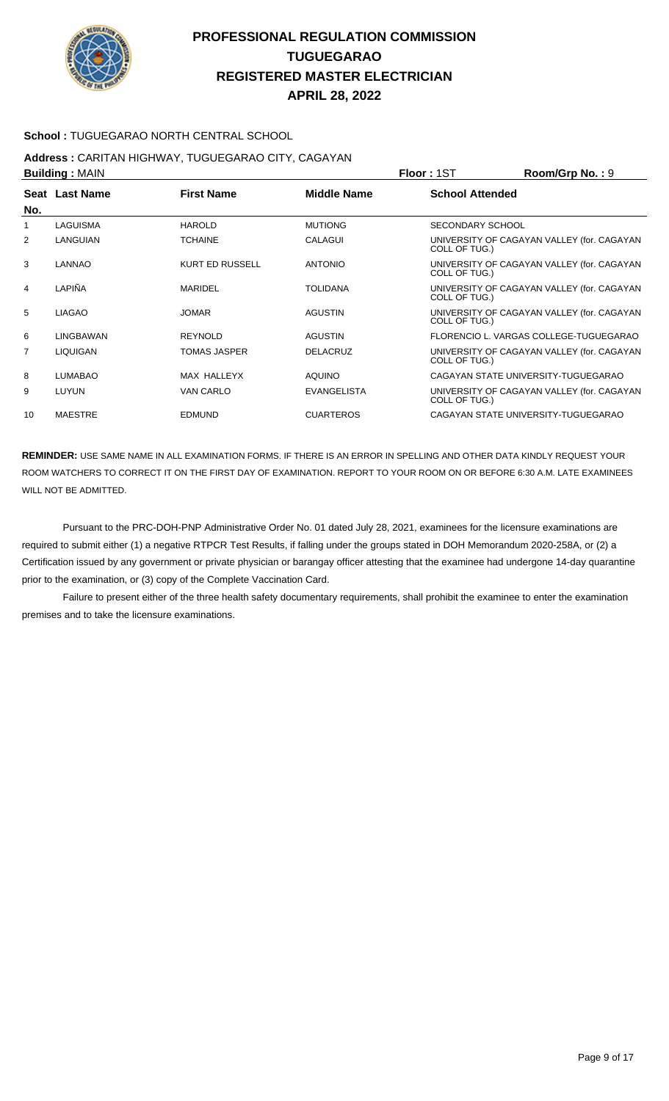

**APRIL 28, 2022**

#### **School :** TUGUEGARAO NORTH CENTRAL SCHOOL

#### **Address :** CARITAN HIGHWAY, TUGUEGARAO CITY, CAGAYAN **Building :** MAIN **Floor :** 1ST **Room/Grp No. :** 9

| <b>DURUBY ANTILY</b> |                 |                        |                    | .                                                           |
|----------------------|-----------------|------------------------|--------------------|-------------------------------------------------------------|
| No.                  | Seat Last Name  | <b>First Name</b>      | Middle Name        | <b>School Attended</b>                                      |
| 1                    | LAGUISMA        | <b>HAROLD</b>          | <b>MUTIONG</b>     | SECONDARY SCHOOL                                            |
| 2                    | LANGUIAN        | <b>TCHAINE</b>         | CALAGUI            | UNIVERSITY OF CAGAYAN VALLEY (for. CAGAYAN<br>COLL OF TUG.) |
| 3                    | LANNAO          | <b>KURT ED RUSSELL</b> | <b>ANTONIO</b>     | UNIVERSITY OF CAGAYAN VALLEY (for. CAGAYAN<br>COLL OF TUG.) |
| $\overline{4}$       | LAPIÑA          | <b>MARIDEL</b>         | <b>TOLIDANA</b>    | UNIVERSITY OF CAGAYAN VALLEY (for. CAGAYAN<br>COLL OF TUG.) |
| 5                    | <b>LIAGAO</b>   | <b>JOMAR</b>           | <b>AGUSTIN</b>     | UNIVERSITY OF CAGAYAN VALLEY (for. CAGAYAN<br>COLL OF TUG.) |
| 6                    | LINGBAWAN       | <b>REYNOLD</b>         | <b>AGUSTIN</b>     | FLORENCIO L. VARGAS COLLEGE-TUGUEGARAO                      |
| $\overline{7}$       | <b>LIQUIGAN</b> | TOMAS JASPER           | <b>DELACRUZ</b>    | UNIVERSITY OF CAGAYAN VALLEY (for. CAGAYAN<br>COLL OF TUG.) |
| 8                    | <b>LUMABAO</b>  | MAX HALLEYX            | <b>AQUINO</b>      | CAGAYAN STATE UNIVERSITY-TUGUEGARAO                         |
| 9                    | LUYUN           | VAN CARLO              | <b>EVANGELISTA</b> | UNIVERSITY OF CAGAYAN VALLEY (for. CAGAYAN<br>COLL OF TUG.) |
| 10                   | <b>MAESTRE</b>  | <b>EDMUND</b>          | <b>CUARTEROS</b>   | CAGAYAN STATE UNIVERSITY-TUGUEGARAO                         |

**REMINDER:** USE SAME NAME IN ALL EXAMINATION FORMS. IF THERE IS AN ERROR IN SPELLING AND OTHER DATA KINDLY REQUEST YOUR ROOM WATCHERS TO CORRECT IT ON THE FIRST DAY OF EXAMINATION. REPORT TO YOUR ROOM ON OR BEFORE 6:30 A.M. LATE EXAMINEES WILL NOT BE ADMITTED.

 Pursuant to the PRC-DOH-PNP Administrative Order No. 01 dated July 28, 2021, examinees for the licensure examinations are required to submit either (1) a negative RTPCR Test Results, if falling under the groups stated in DOH Memorandum 2020-258A, or (2) a Certification issued by any government or private physician or barangay officer attesting that the examinee had undergone 14-day quarantine prior to the examination, or (3) copy of the Complete Vaccination Card.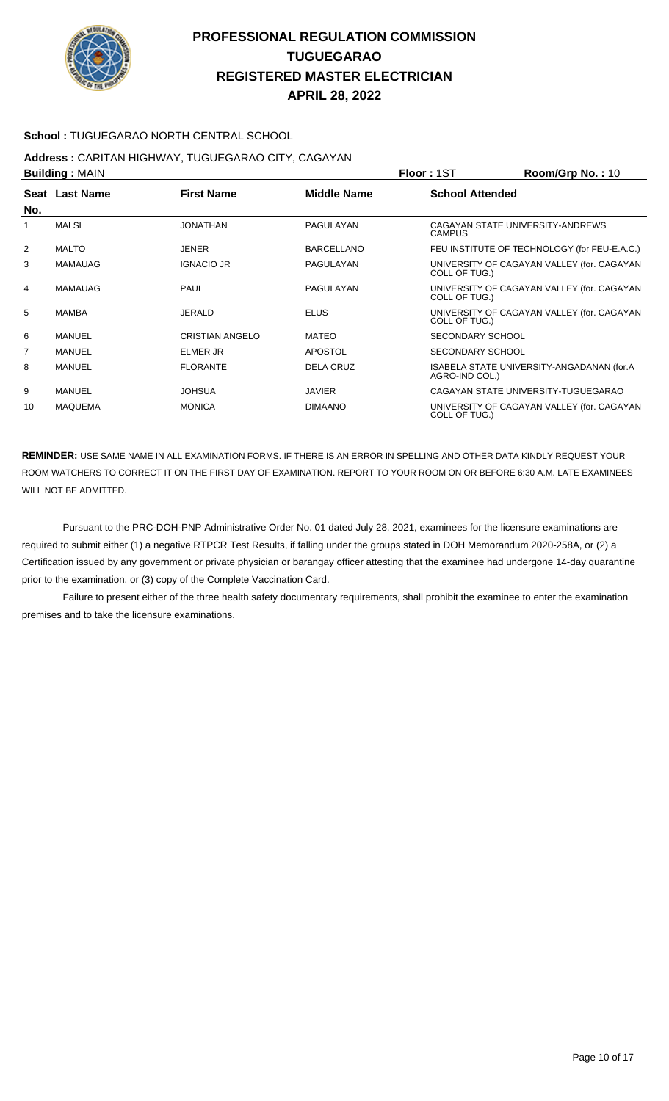

#### **School :** TUGUEGARAO NORTH CENTRAL SCHOOL

## **Address :** CARITAN HIGHWAY, TUGUEGARAO CITY, CAGAYAN

| <b>Building: MAIN</b> |                |                   |                    | <b>Floor: 1ST</b>       | Room/Grp No.: 10                             |
|-----------------------|----------------|-------------------|--------------------|-------------------------|----------------------------------------------|
| No.                   | Seat Last Name | <b>First Name</b> | <b>Middle Name</b> | <b>School Attended</b>  |                                              |
| 1                     | <b>MALSI</b>   | <b>JONATHAN</b>   | PAGULAYAN          | <b>CAMPUS</b>           | CAGAYAN STATE UNIVERSITY-ANDREWS             |
| 2                     | <b>MALTO</b>   | <b>JENER</b>      | <b>BARCELLANO</b>  |                         | FEU INSTITUTE OF TECHNOLOGY (for FEU-E.A.C.) |
| 3                     | <b>MAMAUAG</b> | <b>IGNACIO JR</b> | PAGULAYAN          | COLL OF TUG.)           | UNIVERSITY OF CAGAYAN VALLEY (for. CAGAYAN   |
| 4                     | <b>MAMAUAG</b> | <b>PAUL</b>       | PAGULAYAN          | COLL OF TUG.)           | UNIVERSITY OF CAGAYAN VALLEY (for. CAGAYAN   |
| 5                     | MAMBA          | JERALD            | <b>ELUS</b>        | COLL OF TUG.)           | UNIVERSITY OF CAGAYAN VALLEY (for. CAGAYAN   |
| 6                     | <b>MANUEL</b>  | CRISTIAN ANGELO   | MATEO              | <b>SECONDARY SCHOOL</b> |                                              |
| $\overline{7}$        | <b>MANUEL</b>  | <b>ELMER JR</b>   | <b>APOSTOL</b>     | SECONDARY SCHOOL        |                                              |
| 8                     | <b>MANUEL</b>  | <b>FLORANTE</b>   | <b>DELA CRUZ</b>   | AGRO-IND COL.)          | ISABELA STATE UNIVERSITY-ANGADANAN (for.A    |
| 9                     | MANUEL         | <b>JOHSUA</b>     | <b>JAVIER</b>      |                         | CAGAYAN STATE UNIVERSITY-TUGUEGARAO          |
| 10                    | <b>MAQUEMA</b> | <b>MONICA</b>     | <b>DIMAANO</b>     | COLL OF TUG.)           | UNIVERSITY OF CAGAYAN VALLEY (for. CAGAYAN   |

**REMINDER:** USE SAME NAME IN ALL EXAMINATION FORMS. IF THERE IS AN ERROR IN SPELLING AND OTHER DATA KINDLY REQUEST YOUR ROOM WATCHERS TO CORRECT IT ON THE FIRST DAY OF EXAMINATION. REPORT TO YOUR ROOM ON OR BEFORE 6:30 A.M. LATE EXAMINEES WILL NOT BE ADMITTED.

 Pursuant to the PRC-DOH-PNP Administrative Order No. 01 dated July 28, 2021, examinees for the licensure examinations are required to submit either (1) a negative RTPCR Test Results, if falling under the groups stated in DOH Memorandum 2020-258A, or (2) a Certification issued by any government or private physician or barangay officer attesting that the examinee had undergone 14-day quarantine prior to the examination, or (3) copy of the Complete Vaccination Card.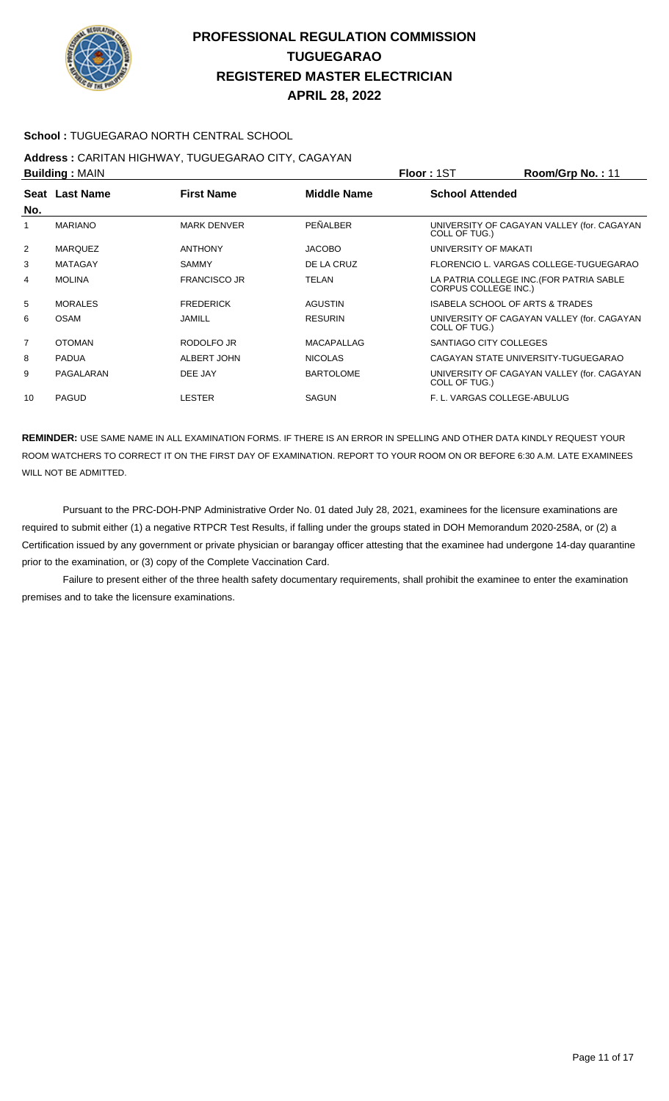

#### **School :** TUGUEGARAO NORTH CENTRAL SCHOOL

## **Address :** CARITAN HIGHWAY, TUGUEGARAO CITY, CAGAYAN

| <b>Building: MAIN</b> |                |                     |                    | <b>Floor: 1ST</b><br>Room/Grp No.: 11                                   |
|-----------------------|----------------|---------------------|--------------------|-------------------------------------------------------------------------|
| No.                   | Seat Last Name | <b>First Name</b>   | <b>Middle Name</b> | <b>School Attended</b>                                                  |
| 1                     | <b>MARIANO</b> | <b>MARK DENVER</b>  | PEÑALBER           | UNIVERSITY OF CAGAYAN VALLEY (for. CAGAYAN<br>COLL OF TUG.)             |
| 2                     | <b>MARQUEZ</b> | <b>ANTHONY</b>      | <b>JACOBO</b>      | UNIVERSITY OF MAKATI                                                    |
| 3                     | <b>MATAGAY</b> | <b>SAMMY</b>        | DE LA CRUZ         | FLORENCIO L. VARGAS COLLEGE-TUGUEGARAO                                  |
| 4                     | <b>MOLINA</b>  | <b>FRANCISCO JR</b> | TELAN              | LA PATRIA COLLEGE INC. (FOR PATRIA SABLE<br><b>CORPUS COLLEGE INC.)</b> |
| 5                     | <b>MORALES</b> | <b>FREDERICK</b>    | <b>AGUSTIN</b>     | <b>ISABELA SCHOOL OF ARTS &amp; TRADES</b>                              |
| 6                     | <b>OSAM</b>    | JAMILL              | <b>RESURIN</b>     | UNIVERSITY OF CAGAYAN VALLEY (for. CAGAYAN<br>COLL OF TUG.)             |
| $\overline{7}$        | <b>OTOMAN</b>  | RODOLFO JR          | <b>MACAPALLAG</b>  | SANTIAGO CITY COLLEGES                                                  |
| 8                     | <b>PADUA</b>   | ALBERT JOHN         | <b>NICOLAS</b>     | CAGAYAN STATE UNIVERSITY-TUGUEGARAO                                     |
| 9                     | PAGALARAN      | DEE JAY             | <b>BARTOLOME</b>   | UNIVERSITY OF CAGAYAN VALLEY (for. CAGAYAN<br>COLL OF TUG.)             |
| 10                    | <b>PAGUD</b>   | LESTER              | <b>SAGUN</b>       | F. L. VARGAS COLLEGE-ABULUG                                             |

**REMINDER:** USE SAME NAME IN ALL EXAMINATION FORMS. IF THERE IS AN ERROR IN SPELLING AND OTHER DATA KINDLY REQUEST YOUR ROOM WATCHERS TO CORRECT IT ON THE FIRST DAY OF EXAMINATION. REPORT TO YOUR ROOM ON OR BEFORE 6:30 A.M. LATE EXAMINEES WILL NOT BE ADMITTED.

 Pursuant to the PRC-DOH-PNP Administrative Order No. 01 dated July 28, 2021, examinees for the licensure examinations are required to submit either (1) a negative RTPCR Test Results, if falling under the groups stated in DOH Memorandum 2020-258A, or (2) a Certification issued by any government or private physician or barangay officer attesting that the examinee had undergone 14-day quarantine prior to the examination, or (3) copy of the Complete Vaccination Card.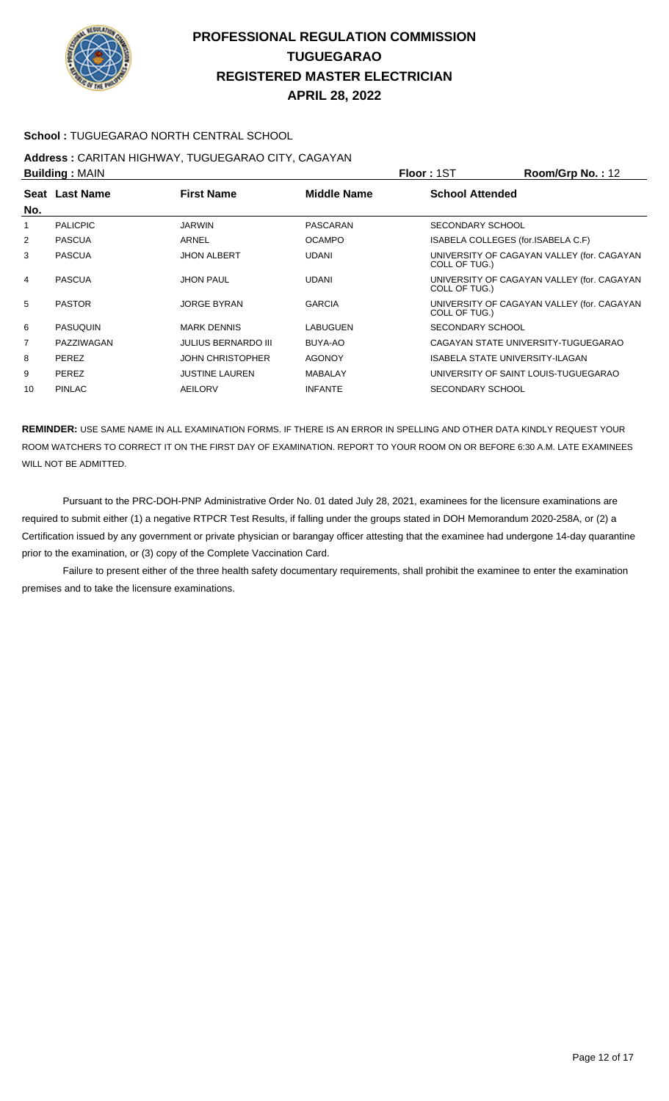

#### **School :** TUGUEGARAO NORTH CENTRAL SCHOOL

#### **Address :** CARITAN HIGHWAY, TUGUEGARAO CITY, CAGAYAN **Building :** MAIN **Floor :** 1ST **Room/Grp No. :** 12

|                 |                            |                    | .<br>110011110111101111211211                               |
|-----------------|----------------------------|--------------------|-------------------------------------------------------------|
| Seat Last Name  | <b>First Name</b>          | <b>Middle Name</b> | <b>School Attended</b>                                      |
| <b>PALICPIC</b> | <b>JARWIN</b>              | PASCARAN           | SECONDARY SCHOOL                                            |
| <b>PASCUA</b>   | ARNEL                      | <b>OCAMPO</b>      | ISABELA COLLEGES (for.ISABELA C.F)                          |
| <b>PASCUA</b>   | <b>JHON ALBERT</b>         | <b>UDANI</b>       | UNIVERSITY OF CAGAYAN VALLEY (for. CAGAYAN<br>COLL OF TUG.) |
| <b>PASCUA</b>   | <b>JHON PAUL</b>           | <b>UDANI</b>       | UNIVERSITY OF CAGAYAN VALLEY (for. CAGAYAN<br>COLL OF TUG.) |
| <b>PASTOR</b>   | <b>JORGE BYRAN</b>         | <b>GARCIA</b>      | UNIVERSITY OF CAGAYAN VALLEY (for. CAGAYAN<br>COLL OF TUG.) |
| <b>PASUQUIN</b> | <b>MARK DENNIS</b>         | LABUGUEN           | SECONDARY SCHOOL                                            |
| PAZZIWAGAN      | <b>JULIUS BERNARDO III</b> | BUYA-AO            | CAGAYAN STATE UNIVERSITY-TUGUEGARAO                         |
| <b>PEREZ</b>    | <b>JOHN CHRISTOPHER</b>    | <b>AGONOY</b>      | ISABELA STATE UNIVERSITY-ILAGAN                             |
| PEREZ           | <b>JUSTINE LAUREN</b>      | <b>MABALAY</b>     | UNIVERSITY OF SAINT LOUIS-TUGUEGARAO                        |
| <b>PINLAC</b>   | <b>AEILORV</b>             | <b>INFANTE</b>     | SECONDARY SCHOOL                                            |
|                 | <b>DURING A MILITY</b>     |                    |                                                             |

**REMINDER:** USE SAME NAME IN ALL EXAMINATION FORMS. IF THERE IS AN ERROR IN SPELLING AND OTHER DATA KINDLY REQUEST YOUR ROOM WATCHERS TO CORRECT IT ON THE FIRST DAY OF EXAMINATION. REPORT TO YOUR ROOM ON OR BEFORE 6:30 A.M. LATE EXAMINEES WILL NOT BE ADMITTED.

 Pursuant to the PRC-DOH-PNP Administrative Order No. 01 dated July 28, 2021, examinees for the licensure examinations are required to submit either (1) a negative RTPCR Test Results, if falling under the groups stated in DOH Memorandum 2020-258A, or (2) a Certification issued by any government or private physician or barangay officer attesting that the examinee had undergone 14-day quarantine prior to the examination, or (3) copy of the Complete Vaccination Card.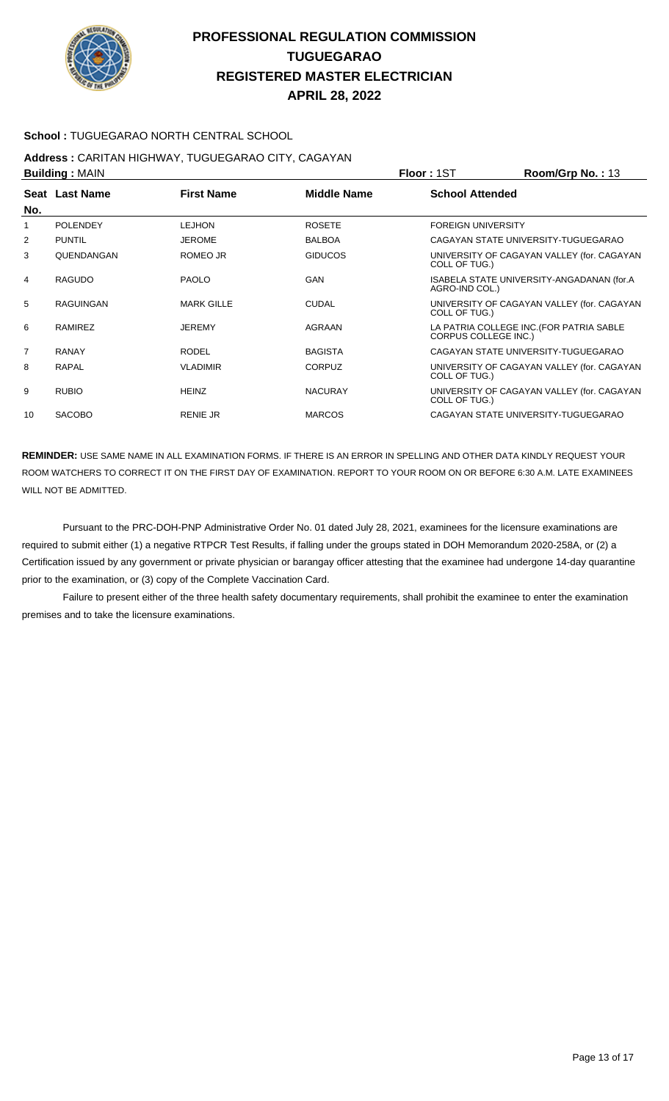

#### **School :** TUGUEGARAO NORTH CENTRAL SCHOOL

#### **Address :** CARITAN HIGHWAY, TUGUEGARAO CITY, CAGAYAN **Building :** MAIN **Floor :** 1ST **Room/Grp No. :** 13

|                | <b>DURUBY ANTILY</b> |                   |                | .<br>טו בטוועשטוויט                                                     |
|----------------|----------------------|-------------------|----------------|-------------------------------------------------------------------------|
| No.            | Seat Last Name       | <b>First Name</b> | Middle Name    | <b>School Attended</b>                                                  |
| 1              | <b>POLENDEY</b>      | <b>LEJHON</b>     | <b>ROSETE</b>  | <b>FOREIGN UNIVERSITY</b>                                               |
| 2              | <b>PUNTIL</b>        | <b>JEROME</b>     | <b>BALBOA</b>  | CAGAYAN STATE UNIVERSITY-TUGUEGARAO                                     |
| 3              | QUENDANGAN           | ROMEO JR          | <b>GIDUCOS</b> | UNIVERSITY OF CAGAYAN VALLEY (for. CAGAYAN<br>COLL OF TUG.)             |
| 4              | <b>RAGUDO</b>        | <b>PAOLO</b>      | GAN            | ISABELA STATE UNIVERSITY-ANGADANAN (for.A<br>AGRO-IND COL.)             |
| 5              | <b>RAGUINGAN</b>     | <b>MARK GILLE</b> | <b>CUDAL</b>   | UNIVERSITY OF CAGAYAN VALLEY (for. CAGAYAN<br>COLL OF TUG.)             |
| 6              | <b>RAMIREZ</b>       | <b>JEREMY</b>     | AGRAAN         | LA PATRIA COLLEGE INC. (FOR PATRIA SABLE<br><b>CORPUS COLLEGE INC.)</b> |
| $\overline{7}$ | <b>RANAY</b>         | <b>RODEL</b>      | <b>BAGISTA</b> | CAGAYAN STATE UNIVERSITY-TUGUEGARAO                                     |
| 8              | <b>RAPAL</b>         | <b>VLADIMIR</b>   | <b>CORPUZ</b>  | UNIVERSITY OF CAGAYAN VALLEY (for. CAGAYAN<br>COLL OF TUG.)             |
| 9              | <b>RUBIO</b>         | <b>HEINZ</b>      | <b>NACURAY</b> | UNIVERSITY OF CAGAYAN VALLEY (for. CAGAYAN<br>COLL OF TUG.)             |
| 10             | <b>SACOBO</b>        | <b>RENIE JR</b>   | <b>MARCOS</b>  | CAGAYAN STATE UNIVERSITY-TUGUEGARAO                                     |

**REMINDER:** USE SAME NAME IN ALL EXAMINATION FORMS. IF THERE IS AN ERROR IN SPELLING AND OTHER DATA KINDLY REQUEST YOUR ROOM WATCHERS TO CORRECT IT ON THE FIRST DAY OF EXAMINATION. REPORT TO YOUR ROOM ON OR BEFORE 6:30 A.M. LATE EXAMINEES WILL NOT BE ADMITTED.

 Pursuant to the PRC-DOH-PNP Administrative Order No. 01 dated July 28, 2021, examinees for the licensure examinations are required to submit either (1) a negative RTPCR Test Results, if falling under the groups stated in DOH Memorandum 2020-258A, or (2) a Certification issued by any government or private physician or barangay officer attesting that the examinee had undergone 14-day quarantine prior to the examination, or (3) copy of the Complete Vaccination Card.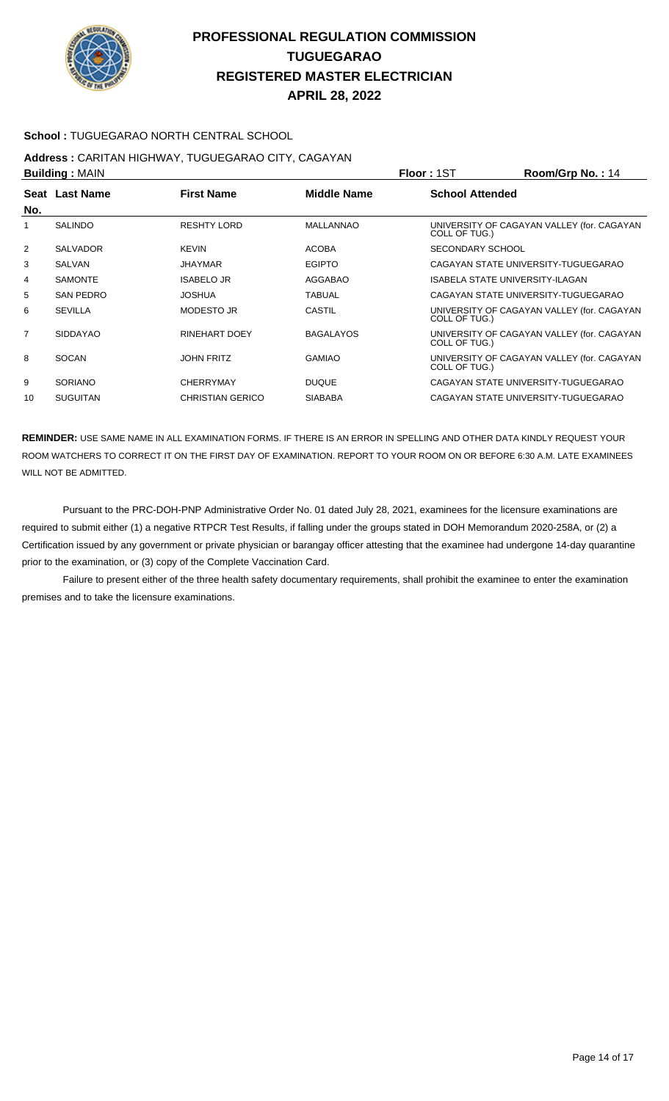

#### **APRIL 28, 2022**

#### **School :** TUGUEGARAO NORTH CENTRAL SCHOOL

#### **Address :** CARITAN HIGHWAY, TUGUEGARAO CITY, CAGAYAN **Building :** MAIN **Floor :** 1ST **Room/Grp No. :** 14

|                | <b>Punding.</b> WATER |                         |                  | .<br>דו . טוו קושטוויט                                      |
|----------------|-----------------------|-------------------------|------------------|-------------------------------------------------------------|
| No.            | Seat Last Name        | <b>First Name</b>       | Middle Name      | <b>School Attended</b>                                      |
| 1              | <b>SALINDO</b>        | <b>RESHTY LORD</b>      | MALLANNAO        | UNIVERSITY OF CAGAYAN VALLEY (for. CAGAYAN<br>COLL OF TUG.) |
| $\overline{2}$ | <b>SALVADOR</b>       | <b>KEVIN</b>            | <b>ACOBA</b>     | SECONDARY SCHOOL                                            |
| 3              | <b>SALVAN</b>         | <b>JHAYMAR</b>          | <b>EGIPTO</b>    | CAGAYAN STATE UNIVERSITY-TUGUEGARAO                         |
| 4              | <b>SAMONTE</b>        | <b>ISABELO JR</b>       | AGGABAO          | ISABELA STATE UNIVERSITY-ILAGAN                             |
| 5              | <b>SAN PEDRO</b>      | <b>JOSHUA</b>           | <b>TABUAL</b>    | CAGAYAN STATE UNIVERSITY-TUGUEGARAO                         |
| 6              | <b>SEVILLA</b>        | <b>MODESTO JR</b>       | CASTIL           | UNIVERSITY OF CAGAYAN VALLEY (for. CAGAYAN<br>COLL OF TUG.) |
| $\overline{7}$ | <b>SIDDAYAO</b>       | RINEHART DOEY           | <b>BAGALAYOS</b> | UNIVERSITY OF CAGAYAN VALLEY (for. CAGAYAN<br>COLL OF TUG.) |
| 8              | <b>SOCAN</b>          | <b>JOHN FRITZ</b>       | <b>GAMIAO</b>    | UNIVERSITY OF CAGAYAN VALLEY (for. CAGAYAN<br>COLL OF TUG.) |
| 9              | <b>SORIANO</b>        | <b>CHERRYMAY</b>        | <b>DUQUE</b>     | CAGAYAN STATE UNIVERSITY-TUGUEGARAO                         |
| 10             | <b>SUGUITAN</b>       | <b>CHRISTIAN GERICO</b> | <b>SIABABA</b>   | CAGAYAN STATE UNIVERSITY-TUGUEGARAO                         |
|                |                       |                         |                  |                                                             |

**REMINDER:** USE SAME NAME IN ALL EXAMINATION FORMS. IF THERE IS AN ERROR IN SPELLING AND OTHER DATA KINDLY REQUEST YOUR ROOM WATCHERS TO CORRECT IT ON THE FIRST DAY OF EXAMINATION. REPORT TO YOUR ROOM ON OR BEFORE 6:30 A.M. LATE EXAMINEES WILL NOT BE ADMITTED.

 Pursuant to the PRC-DOH-PNP Administrative Order No. 01 dated July 28, 2021, examinees for the licensure examinations are required to submit either (1) a negative RTPCR Test Results, if falling under the groups stated in DOH Memorandum 2020-258A, or (2) a Certification issued by any government or private physician or barangay officer attesting that the examinee had undergone 14-day quarantine prior to the examination, or (3) copy of the Complete Vaccination Card.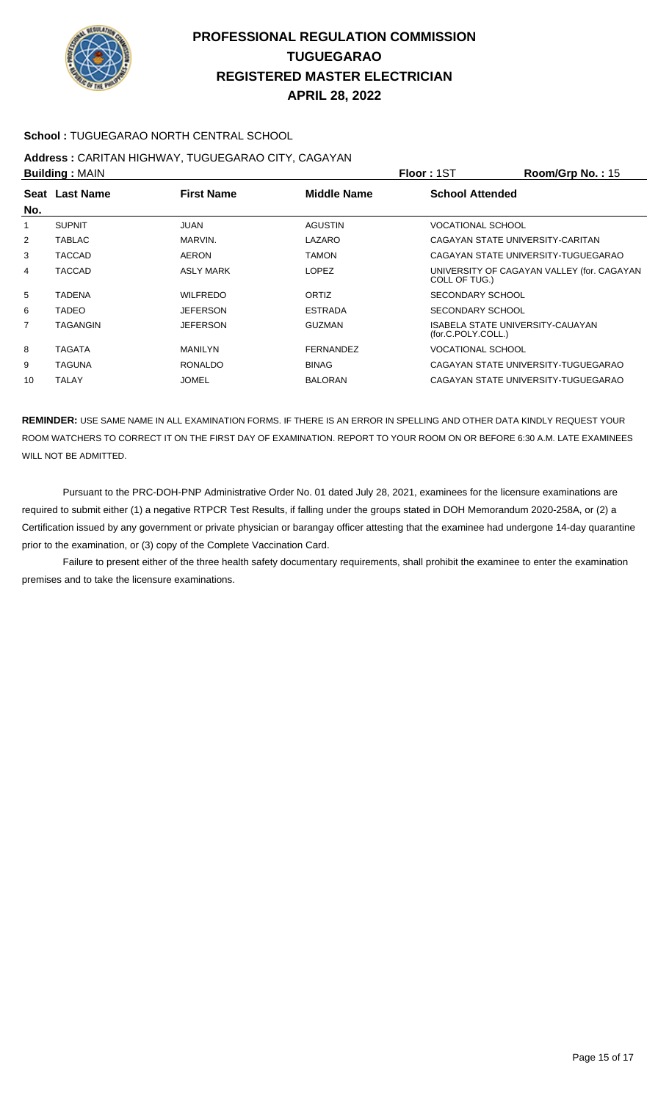

#### **School :** TUGUEGARAO NORTH CENTRAL SCHOOL

# **Address :** CARITAN HIGHWAY, TUGUEGARAO CITY, CAGAYAN

| <b>Building: MAIN</b> |                                                    |                  |                  | <b>Floor: 1ST</b>                   | Room/Grp No.: 15                           |
|-----------------------|----------------------------------------------------|------------------|------------------|-------------------------------------|--------------------------------------------|
|                       | <b>First Name</b><br>Seat Last Name<br>Middle Name |                  |                  | <b>School Attended</b>              |                                            |
| No.                   |                                                    |                  |                  |                                     |                                            |
| 1                     | <b>SUPNIT</b>                                      | <b>JUAN</b>      | <b>AGUSTIN</b>   | <b>VOCATIONAL SCHOOL</b>            |                                            |
| 2                     | TABLAC                                             | MARVIN.          | LAZARO           | CAGAYAN STATE UNIVERSITY-CARITAN    |                                            |
| 3                     | TACCAD                                             | <b>AERON</b>     | <b>TAMON</b>     | CAGAYAN STATE UNIVERSITY-TUGUEGARAO |                                            |
| 4                     | <b>TACCAD</b>                                      | <b>ASLY MARK</b> | <b>LOPEZ</b>     | COLL OF TUG.)                       | UNIVERSITY OF CAGAYAN VALLEY (for. CAGAYAN |
| 5                     | <b>TADENA</b>                                      | <b>WILFREDO</b>  | <b>ORTIZ</b>     | SECONDARY SCHOOL                    |                                            |
| 6                     | <b>TADEO</b>                                       | <b>JEFERSON</b>  | <b>ESTRADA</b>   | <b>SECONDARY SCHOOL</b>             |                                            |
| $\overline{7}$        | TAGANGIN                                           | <b>JEFERSON</b>  | <b>GUZMAN</b>    | (for.C.POLY.COLL.)                  | ISABELA STATE UNIVERSITY-CAUAYAN           |
| 8                     | TAGATA                                             | <b>MANILYN</b>   | <b>FERNANDEZ</b> | <b>VOCATIONAL SCHOOL</b>            |                                            |
| 9                     | TAGUNA                                             | <b>RONALDO</b>   | <b>BINAG</b>     |                                     | CAGAYAN STATE UNIVERSITY-TUGUEGARAO        |
| 10                    | <b>TALAY</b>                                       | <b>JOMEL</b>     | <b>BALORAN</b>   |                                     | CAGAYAN STATE UNIVERSITY-TUGUEGARAO        |

**REMINDER:** USE SAME NAME IN ALL EXAMINATION FORMS. IF THERE IS AN ERROR IN SPELLING AND OTHER DATA KINDLY REQUEST YOUR ROOM WATCHERS TO CORRECT IT ON THE FIRST DAY OF EXAMINATION. REPORT TO YOUR ROOM ON OR BEFORE 6:30 A.M. LATE EXAMINEES WILL NOT BE ADMITTED.

 Pursuant to the PRC-DOH-PNP Administrative Order No. 01 dated July 28, 2021, examinees for the licensure examinations are required to submit either (1) a negative RTPCR Test Results, if falling under the groups stated in DOH Memorandum 2020-258A, or (2) a Certification issued by any government or private physician or barangay officer attesting that the examinee had undergone 14-day quarantine prior to the examination, or (3) copy of the Complete Vaccination Card.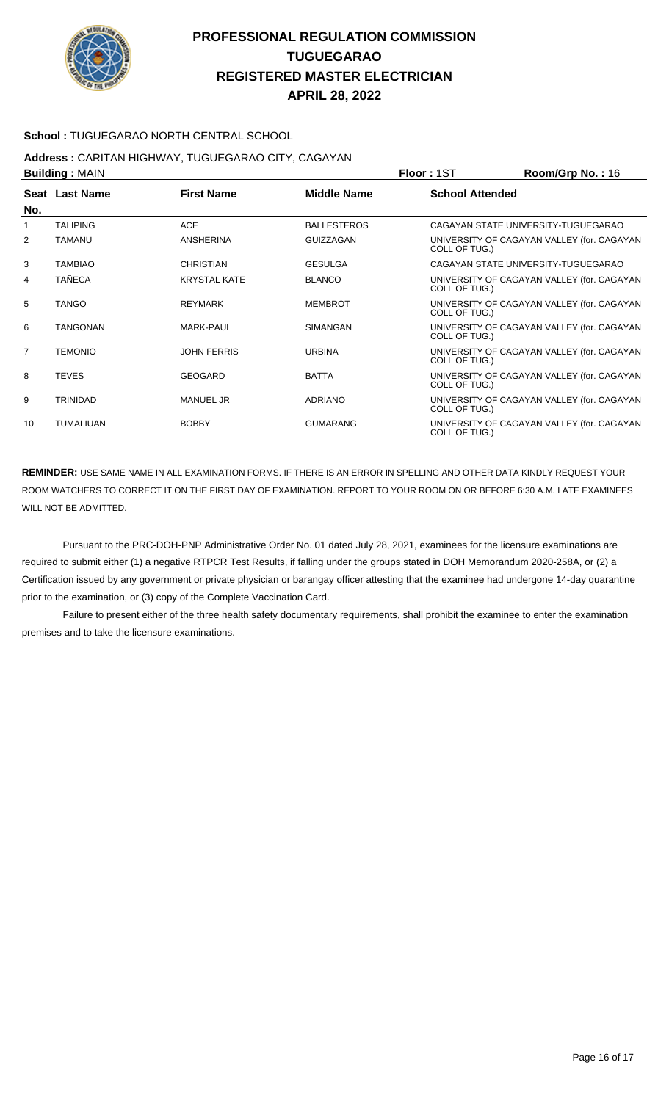

#### **School :** TUGUEGARAO NORTH CENTRAL SCHOOL

#### **Address :** CARITAN HIGHWAY, TUGUEGARAO CITY, CAGAYAN **Building :** MAIN **Floor :** 1ST **Room/Grp No. :** 16

|                | <b>DUILUILLY</b> ULAIN |                     |                    | 1 IUU 1 1 U 1                                               |
|----------------|------------------------|---------------------|--------------------|-------------------------------------------------------------|
| No.            | Seat Last Name         | <b>First Name</b>   | <b>Middle Name</b> | <b>School Attended</b>                                      |
| 1              | <b>TALIPING</b>        | <b>ACE</b>          | <b>BALLESTEROS</b> | CAGAYAN STATE UNIVERSITY-TUGUEGARAO                         |
| 2              | <b>TAMANU</b>          | <b>ANSHERINA</b>    | <b>GUIZZAGAN</b>   | UNIVERSITY OF CAGAYAN VALLEY (for. CAGAYAN<br>COLL OF TUG.) |
| 3              | <b>TAMBIAO</b>         | <b>CHRISTIAN</b>    | <b>GESULGA</b>     | CAGAYAN STATE UNIVERSITY-TUGUEGARAO                         |
| 4              | <b>TAÑECA</b>          | <b>KRYSTAL KATE</b> | <b>BLANCO</b>      | UNIVERSITY OF CAGAYAN VALLEY (for. CAGAYAN<br>COLL OF TUG.) |
| 5              | <b>TANGO</b>           | <b>REYMARK</b>      | <b>MEMBROT</b>     | UNIVERSITY OF CAGAYAN VALLEY (for. CAGAYAN<br>COLL OF TUG.) |
| 6              | <b>TANGONAN</b>        | <b>MARK-PAUL</b>    | <b>SIMANGAN</b>    | UNIVERSITY OF CAGAYAN VALLEY (for. CAGAYAN<br>COLL OF TUG.) |
| $\overline{7}$ | <b>TEMONIO</b>         | <b>JOHN FERRIS</b>  | <b>URBINA</b>      | UNIVERSITY OF CAGAYAN VALLEY (for. CAGAYAN<br>COLL OF TUG.) |
| 8              | <b>TEVES</b>           | <b>GEOGARD</b>      | <b>BATTA</b>       | UNIVERSITY OF CAGAYAN VALLEY (for. CAGAYAN<br>COLL OF TUG.) |
| 9              | <b>TRINIDAD</b>        | <b>MANUEL JR</b>    | <b>ADRIANO</b>     | UNIVERSITY OF CAGAYAN VALLEY (for. CAGAYAN<br>COLL OF TUG.) |
| 10             | <b>TUMALIUAN</b>       | <b>BOBBY</b>        | <b>GUMARANG</b>    | UNIVERSITY OF CAGAYAN VALLEY (for. CAGAYAN<br>COLL OF TUG.) |

**REMINDER:** USE SAME NAME IN ALL EXAMINATION FORMS. IF THERE IS AN ERROR IN SPELLING AND OTHER DATA KINDLY REQUEST YOUR ROOM WATCHERS TO CORRECT IT ON THE FIRST DAY OF EXAMINATION. REPORT TO YOUR ROOM ON OR BEFORE 6:30 A.M. LATE EXAMINEES WILL NOT BE ADMITTED.

 Pursuant to the PRC-DOH-PNP Administrative Order No. 01 dated July 28, 2021, examinees for the licensure examinations are required to submit either (1) a negative RTPCR Test Results, if falling under the groups stated in DOH Memorandum 2020-258A, or (2) a Certification issued by any government or private physician or barangay officer attesting that the examinee had undergone 14-day quarantine prior to the examination, or (3) copy of the Complete Vaccination Card.